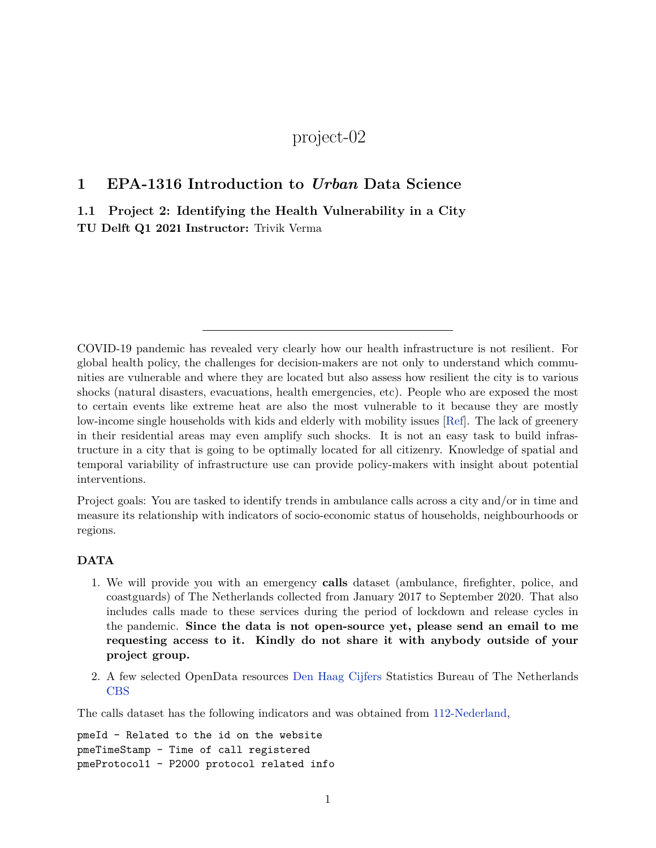## project-02

## **1 EPA-1316 Introduction to** *Urban* **Data Science**

**1.1 Project 2: Identifying the Health Vulnerability in a City TU Delft Q1 2021 Instructor:** Trivik Verma

COVID-19 pandemic has revealed very clearly how our health infrastructure is not resilient. For global health policy, the challenges for decision-makers are not only to understand which communities are vulnerable and where they are located but also assess how resilient the city is to various shocks (natural disasters, evacuations, health emergencies, etc). People who are exposed the most to certain events like extreme heat are also the most vulnerable to it because they are mostly low-income single households with kids and elderly with mobility issues [\[Ref\]](https://www.nytimes.com/interactive/2020/08/24/climate/racism-redlining-cities-global-warming.html). The lack of greenery in their residential areas may even amplify such shocks. It is not an easy task to build infrastructure in a city that is going to be optimally located for all citizenry. Knowledge of spatial and temporal variability of infrastructure use can provide policy-makers with insight about potential interventions.

Project goals: You are tasked to identify trends in ambulance calls across a city and/or in time and measure its relationship with indicators of socio-economic status of households, neighbourhoods or regions.

## **DATA**

- 1. We will provide you with an emergency **calls** dataset (ambulance, firefighter, police, and coastguards) of The Netherlands collected from January 2017 to September 2020. That also includes calls made to these services during the period of lockdown and release cycles in the pandemic. **Since the data is not open-source yet, please send an email to me requesting access to it. Kindly do not share it with anybody outside of your project group.**
- 2. A few selected OpenData resources [Den Haag Cijfers](https://denhaag.incijfers.nl/jive) Statistics Bureau of The Netherlands [CBS](https://www.cbs.nl/nl-nl/reeksen/kerncijfers-wijken-en-buurten-2004-2020)

The calls dataset has the following indicators and was obtained from [112-Nederland](https://www.112-nederland.nl/),

pmeId - Related to the id on the website pmeTimeStamp - Time of call registered pmeProtocol1 - P2000 protocol related info